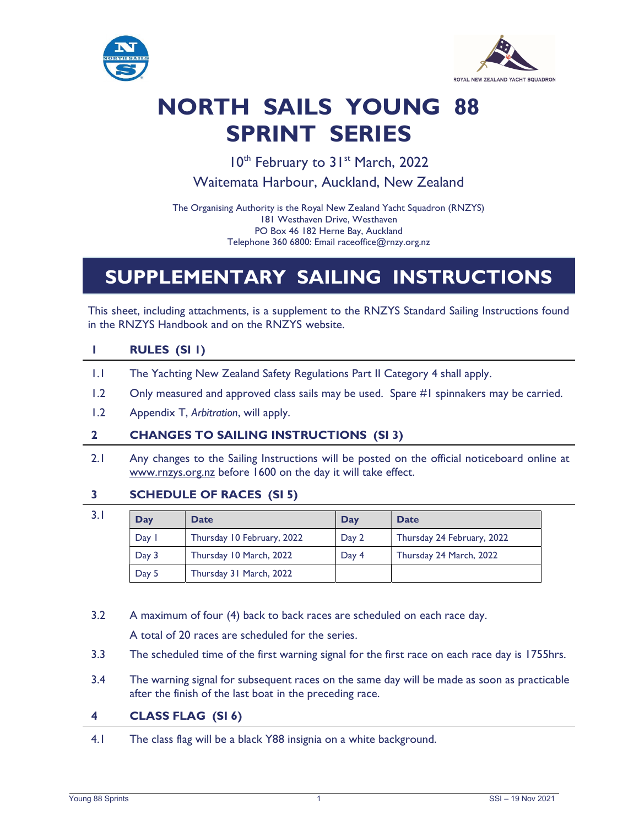



# NORTH SAILS YOUNG 88 SPRINT SERIES

10<sup>th</sup> February to 31<sup>st</sup> March, 2022

Waitemata Harbour, Auckland, New Zealand

The Organising Authority is the Royal New Zealand Yacht Squadron (RNZYS) 181 Westhaven Drive, Westhaven PO Box 46 182 Herne Bay, Auckland Telephone 360 6800: Email raceoffice@rnzy.org.nz

# SUPPLEMENTARY SAILING INSTRUCTIONS

This sheet, including attachments, is a supplement to the RNZYS Standard Sailing Instructions found in the RNZYS Handbook and on the RNZYS website.

## 1 RULES (SI 1)

- 1.1 The Yachting New Zealand Safety Regulations Part II Category 4 shall apply.
- 1.2 Only measured and approved class sails may be used. Spare #1 spinnakers may be carried.
- 1.2 Appendix T, Arbitration, will apply.

#### 2 CHANGES TO SAILING INSTRUCTIONS (SI 3)

2.1 Any changes to the Sailing Instructions will be posted on the official noticeboard online at www.rnzys.org.nz before 1600 on the day it will take effect.

#### 3 SCHEDULE OF RACES (SI 5)

- 
- 

| 3.1 | Day   | <b>Date</b>                | Day   | <b>Date</b>                |
|-----|-------|----------------------------|-------|----------------------------|
|     | Day   | Thursday 10 February, 2022 | Day 2 | Thursday 24 February, 2022 |
|     | Day 3 | Thursday 10 March, 2022    | Day 4 | Thursday 24 March, 2022    |
|     | Day 5 | Thursday 31 March, 2022    |       |                            |

3.2 A maximum of four (4) back to back races are scheduled on each race day.

A total of 20 races are scheduled for the series.

- 3.3 The scheduled time of the first warning signal for the first race on each race day is 1755hrs.
- 3.4 The warning signal for subsequent races on the same day will be made as soon as practicable after the finish of the last boat in the preceding race.

#### 4 CLASS FLAG (SI 6)

4.1 The class flag will be a black Y88 insignia on a white background.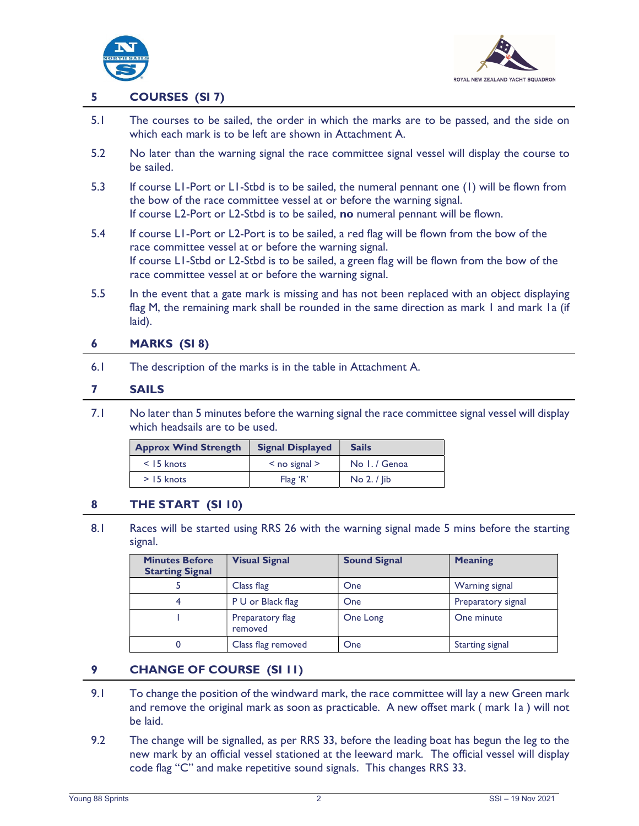



#### 5 COURSES (SI 7)

- 5.1 The courses to be sailed, the order in which the marks are to be passed, and the side on which each mark is to be left are shown in Attachment A.
- 5.2 No later than the warning signal the race committee signal vessel will display the course to be sailed.
- 5.3 If course L1-Port or L1-Stbd is to be sailed, the numeral pennant one (1) will be flown from the bow of the race committee vessel at or before the warning signal. If course L2-Port or L2-Stbd is to be sailed, no numeral pennant will be flown.
- 5.4 If course L1-Port or L2-Port is to be sailed, a red flag will be flown from the bow of the race committee vessel at or before the warning signal. If course L1-Stbd or L2-Stbd is to be sailed, a green flag will be flown from the bow of the race committee vessel at or before the warning signal.
- 5.5 In the event that a gate mark is missing and has not been replaced with an object displaying flag M, the remaining mark shall be rounded in the same direction as mark I and mark Ia (if laid).

#### 6 MARKS (SI 8)

6.1 The description of the marks is in the table in Attachment A.

#### 7 SAILS

 7.1 No later than 5 minutes before the warning signal the race committee signal vessel will display which headsails are to be used.

| <b>Approx Wind Strength</b> | <b>Signal Displayed</b> | <b>Sails</b>  |
|-----------------------------|-------------------------|---------------|
| $<$ 15 knots                | $<$ no signal $>$       | No 1. / Genoa |
| $>$ 15 knots                | Flag'R'                 | No 2. / lib   |

#### 8 THE START (SI 10)

8.1 Races will be started using RRS 26 with the warning signal made 5 mins before the starting signal.

| <b>Minutes Before</b><br><b>Starting Signal</b> | <b>Visual Signal</b>        | <b>Sound Signal</b> | <b>Meaning</b>        |
|-------------------------------------------------|-----------------------------|---------------------|-----------------------|
|                                                 | Class flag                  | One                 | <b>Warning signal</b> |
|                                                 | P U or Black flag           | One                 | Preparatory signal    |
|                                                 | Preparatory flag<br>removed | One Long            | One minute            |
|                                                 | Class flag removed          | One                 | Starting signal       |

#### 9 CHANGE OF COURSE (SI 11)

- 9.1 To change the position of the windward mark, the race committee will lay a new Green mark and remove the original mark as soon as practicable. A new offset mark ( mark 1a ) will not be laid.
- 9.2 The change will be signalled, as per RRS 33, before the leading boat has begun the leg to the new mark by an official vessel stationed at the leeward mark. The official vessel will display code flag "C" and make repetitive sound signals. This changes RRS 33.

 $\overline{\phantom{0}}$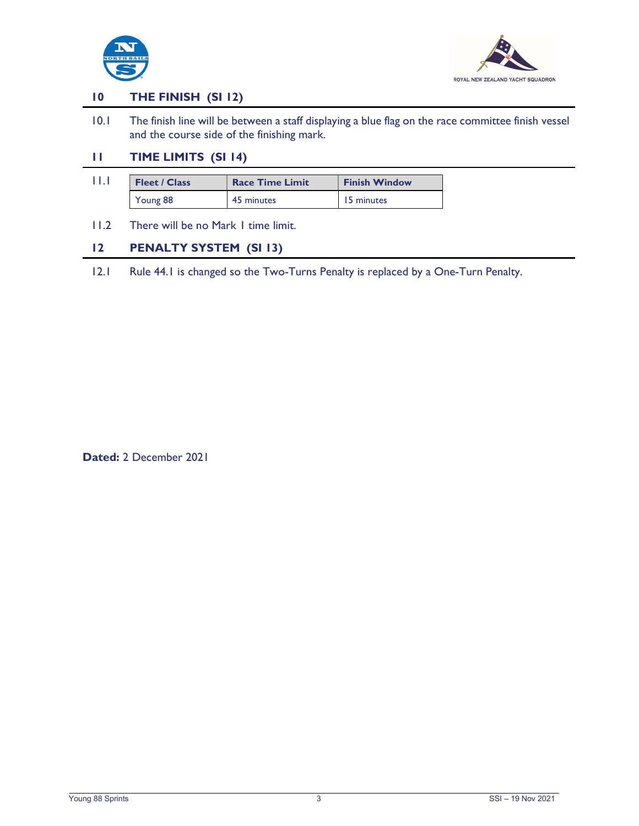



#### 10 THE FINISH (SI 12)

 10.1 The finish line will be between a staff displaying a blue flag on the race committee finish vessel and the course side of the finishing mark.

# 11 TIME LIMITS (SI 14)

- 11.1 Fleet / Class Race Time Limit Finish Window Young 88 45 minutes 15 minutes
- 11.2 There will be no Mark 1 time limit.

### 12 PENALTY SYSTEM (SI 13)

12.1 Rule 44.1 is changed so the Two-Turns Penalty is replaced by a One-Turn Penalty.

Dated: 2 December 2021